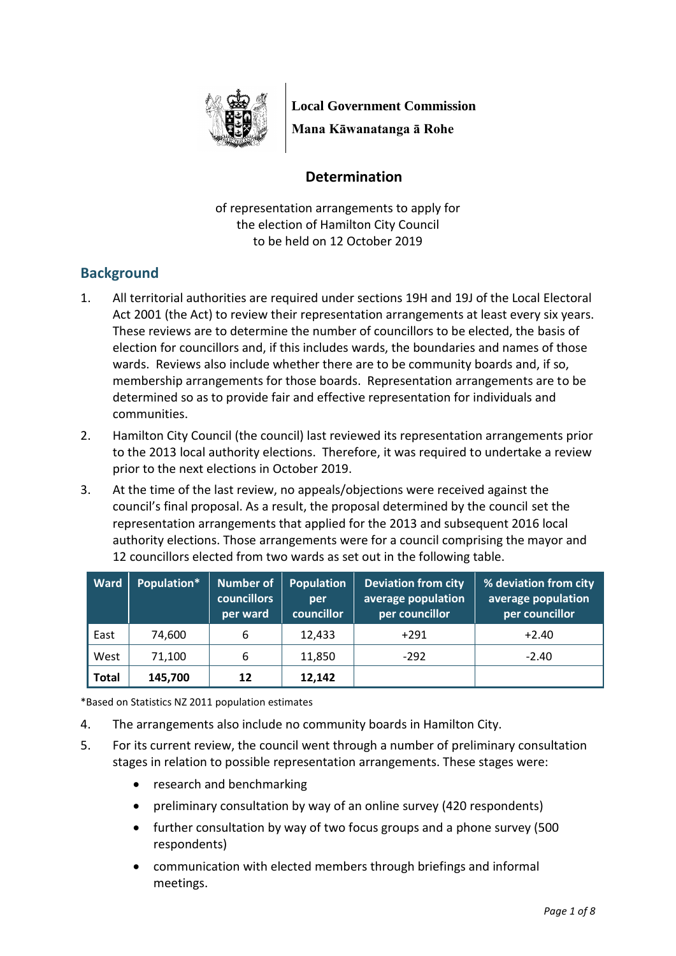

**Local Government Commission**

**Mana Kāwanatanga ā Rohe**

## **Determination**

of representation arrangements to apply for the election of Hamilton City Council to be held on 12 October 2019

# **Background**

- 1. All territorial authorities are required under sections 19H and 19J of the Local Electoral Act 2001 (the Act) to review their representation arrangements at least every six years. These reviews are to determine the number of councillors to be elected, the basis of election for councillors and, if this includes wards, the boundaries and names of those wards. Reviews also include whether there are to be community boards and, if so, membership arrangements for those boards. Representation arrangements are to be determined so as to provide fair and effective representation for individuals and communities.
- 2. Hamilton City Council (the council) last reviewed its representation arrangements prior to the 2013 local authority elections. Therefore, it was required to undertake a review prior to the next elections in October 2019.
- 3. At the time of the last review, no appeals/objections were received against the council's final proposal. As a result, the proposal determined by the council set the representation arrangements that applied for the 2013 and subsequent 2016 local authority elections. Those arrangements were for a council comprising the mayor and 12 councillors elected from two wards as set out in the following table.

| Ward         | Population* | Number of<br><b>councillors</b><br>per ward | <b>Population</b><br>per<br>councillor | <b>Deviation from city</b><br>average population<br>per councillor | % deviation from city<br>average population<br>per councillor |
|--------------|-------------|---------------------------------------------|----------------------------------------|--------------------------------------------------------------------|---------------------------------------------------------------|
| East         | 74,600      | 6                                           | 12,433                                 | $+291$                                                             | $+2.40$                                                       |
| West         | 71,100      | 6                                           | 11,850                                 | $-292$                                                             | $-2.40$                                                       |
| <b>Total</b> | 145,700     | 12                                          | 12,142                                 |                                                                    |                                                               |

\*Based on Statistics NZ 2011 population estimates

- 4. The arrangements also include no community boards in Hamilton City.
- 5. For its current review, the council went through a number of preliminary consultation stages in relation to possible representation arrangements. These stages were:
	- research and benchmarking
	- preliminary consultation by way of an online survey (420 respondents)
	- further consultation by way of two focus groups and a phone survey (500 respondents)
	- communication with elected members through briefings and informal meetings.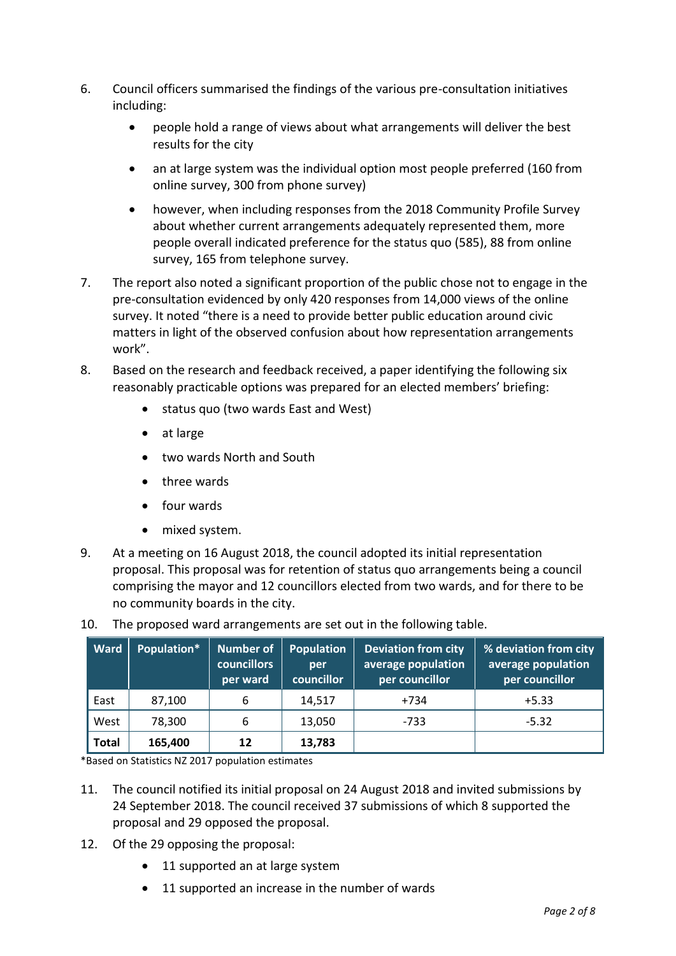- 6. Council officers summarised the findings of the various pre-consultation initiatives including:
	- people hold a range of views about what arrangements will deliver the best results for the city
	- an at large system was the individual option most people preferred (160 from online survey, 300 from phone survey)
	- however, when including responses from the 2018 Community Profile Survey about whether current arrangements adequately represented them, more people overall indicated preference for the status quo (585), 88 from online survey, 165 from telephone survey.
- 7. The report also noted a significant proportion of the public chose not to engage in the pre-consultation evidenced by only 420 responses from 14,000 views of the online survey. It noted "there is a need to provide better public education around civic matters in light of the observed confusion about how representation arrangements work".
- 8. Based on the research and feedback received, a paper identifying the following six reasonably practicable options was prepared for an elected members' briefing:
	- status quo (two wards East and West)
	- at large
	- two wards North and South
	- three wards
	- four wards
	- mixed system.
- 9. At a meeting on 16 August 2018, the council adopted its initial representation proposal. This proposal was for retention of status quo arrangements being a council comprising the mayor and 12 councillors elected from two wards, and for there to be no community boards in the city.

| <b>Ward</b>  | Population* | Number of<br><b>councillors</b><br>per ward | Population<br>per<br>councillor | <b>Deviation from city</b><br>average population<br>per councillor | % deviation from city<br>average population<br>per councillor |
|--------------|-------------|---------------------------------------------|---------------------------------|--------------------------------------------------------------------|---------------------------------------------------------------|
| East         | 87,100      | 6                                           | 14,517                          | +734                                                               | $+5.33$                                                       |
| West         | 78,300      | 6                                           | 13,050                          | -733                                                               | $-5.32$                                                       |
| <b>Total</b> | 165,400     | 12                                          | 13,783                          |                                                                    |                                                               |

10. The proposed ward arrangements are set out in the following table.

\*Based on Statistics NZ 2017 population estimates

- 11. The council notified its initial proposal on 24 August 2018 and invited submissions by 24 September 2018. The council received 37 submissions of which 8 supported the proposal and 29 opposed the proposal.
- 12. Of the 29 opposing the proposal:
	- 11 supported an at large system
	- 11 supported an increase in the number of wards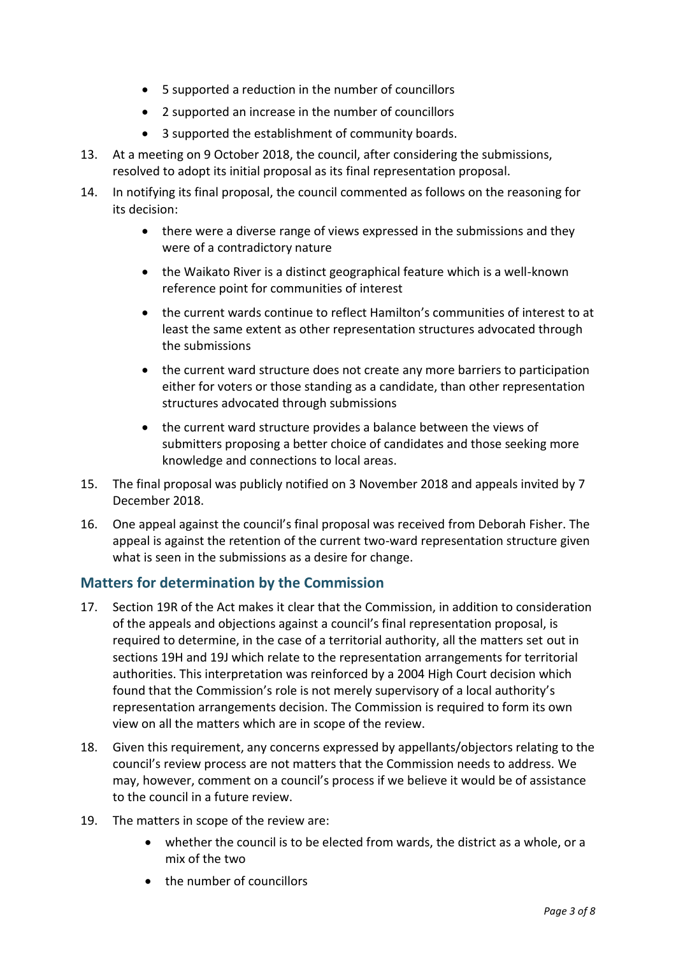- 5 supported a reduction in the number of councillors
- 2 supported an increase in the number of councillors
- 3 supported the establishment of community boards.
- 13. At a meeting on 9 October 2018, the council, after considering the submissions, resolved to adopt its initial proposal as its final representation proposal.
- 14. In notifying its final proposal, the council commented as follows on the reasoning for its decision:
	- there were a diverse range of views expressed in the submissions and they were of a contradictory nature
	- the Waikato River is a distinct geographical feature which is a well-known reference point for communities of interest
	- the current wards continue to reflect Hamilton's communities of interest to at least the same extent as other representation structures advocated through the submissions
	- the current ward structure does not create any more barriers to participation either for voters or those standing as a candidate, than other representation structures advocated through submissions
	- the current ward structure provides a balance between the views of submitters proposing a better choice of candidates and those seeking more knowledge and connections to local areas.
- 15. The final proposal was publicly notified on 3 November 2018 and appeals invited by 7 December 2018.
- 16. One appeal against the council's final proposal was received from Deborah Fisher. The appeal is against the retention of the current two-ward representation structure given what is seen in the submissions as a desire for change.

# **Matters for determination by the Commission**

- 17. Section 19R of the Act makes it clear that the Commission, in addition to consideration of the appeals and objections against a council's final representation proposal, is required to determine, in the case of a territorial authority, all the matters set out in sections 19H and 19J which relate to the representation arrangements for territorial authorities. This interpretation was reinforced by a 2004 High Court decision which found that the Commission's role is not merely supervisory of a local authority's representation arrangements decision. The Commission is required to form its own view on all the matters which are in scope of the review.
- 18. Given this requirement, any concerns expressed by appellants/objectors relating to the council's review process are not matters that the Commission needs to address. We may, however, comment on a council's process if we believe it would be of assistance to the council in a future review.
- 19. The matters in scope of the review are:
	- whether the council is to be elected from wards, the district as a whole, or a mix of the two
	- the number of councillors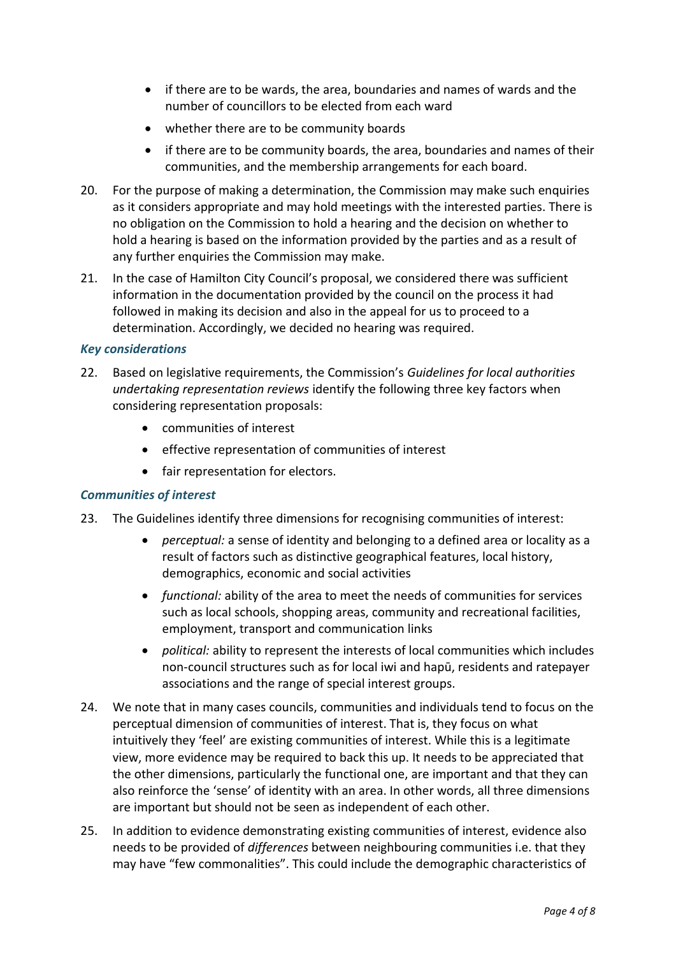- if there are to be wards, the area, boundaries and names of wards and the number of councillors to be elected from each ward
- whether there are to be community boards
- if there are to be community boards, the area, boundaries and names of their communities, and the membership arrangements for each board.
- 20. For the purpose of making a determination, the Commission may make such enquiries as it considers appropriate and may hold meetings with the interested parties. There is no obligation on the Commission to hold a hearing and the decision on whether to hold a hearing is based on the information provided by the parties and as a result of any further enquiries the Commission may make.
- 21. In the case of Hamilton City Council's proposal, we considered there was sufficient information in the documentation provided by the council on the process it had followed in making its decision and also in the appeal for us to proceed to a determination. Accordingly, we decided no hearing was required.

#### *Key considerations*

- 22. Based on legislative requirements, the Commission's *Guidelines for local authorities undertaking representation reviews* identify the following three key factors when considering representation proposals:
	- communities of interest
	- effective representation of communities of interest
	- fair representation for electors.

#### *Communities of interest*

- 23. The Guidelines identify three dimensions for recognising communities of interest:
	- *perceptual:* a sense of identity and belonging to a defined area or locality as a result of factors such as distinctive geographical features, local history, demographics, economic and social activities
	- *functional:* ability of the area to meet the needs of communities for services such as local schools, shopping areas, community and recreational facilities, employment, transport and communication links
	- *political:* ability to represent the interests of local communities which includes non-council structures such as for local iwi and hapū, residents and ratepayer associations and the range of special interest groups.
- 24. We note that in many cases councils, communities and individuals tend to focus on the perceptual dimension of communities of interest. That is, they focus on what intuitively they 'feel' are existing communities of interest. While this is a legitimate view, more evidence may be required to back this up. It needs to be appreciated that the other dimensions, particularly the functional one, are important and that they can also reinforce the 'sense' of identity with an area. In other words, all three dimensions are important but should not be seen as independent of each other.
- 25. In addition to evidence demonstrating existing communities of interest, evidence also needs to be provided of *differences* between neighbouring communities i.e. that they may have "few commonalities". This could include the demographic characteristics of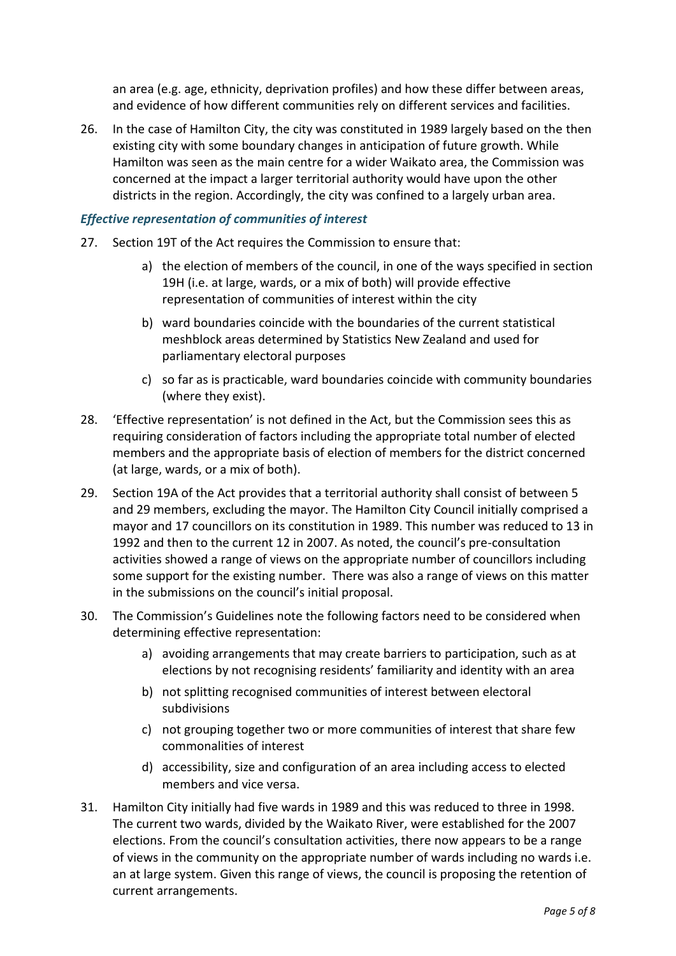an area (e.g. age, ethnicity, deprivation profiles) and how these differ between areas, and evidence of how different communities rely on different services and facilities.

26. In the case of Hamilton City, the city was constituted in 1989 largely based on the then existing city with some boundary changes in anticipation of future growth. While Hamilton was seen as the main centre for a wider Waikato area, the Commission was concerned at the impact a larger territorial authority would have upon the other districts in the region. Accordingly, the city was confined to a largely urban area.

#### *Effective representation of communities of interest*

- 27. Section 19T of the Act requires the Commission to ensure that:
	- a) the election of members of the council, in one of the ways specified in section 19H (i.e. at large, wards, or a mix of both) will provide effective representation of communities of interest within the city
	- b) ward boundaries coincide with the boundaries of the current statistical meshblock areas determined by Statistics New Zealand and used for parliamentary electoral purposes
	- c) so far as is practicable, ward boundaries coincide with community boundaries (where they exist).
- 28. 'Effective representation' is not defined in the Act, but the Commission sees this as requiring consideration of factors including the appropriate total number of elected members and the appropriate basis of election of members for the district concerned (at large, wards, or a mix of both).
- 29. Section 19A of the Act provides that a territorial authority shall consist of between 5 and 29 members, excluding the mayor. The Hamilton City Council initially comprised a mayor and 17 councillors on its constitution in 1989. This number was reduced to 13 in 1992 and then to the current 12 in 2007. As noted, the council's pre-consultation activities showed a range of views on the appropriate number of councillors including some support for the existing number. There was also a range of views on this matter in the submissions on the council's initial proposal.
- 30. The Commission's Guidelines note the following factors need to be considered when determining effective representation:
	- a) avoiding arrangements that may create barriers to participation, such as at elections by not recognising residents' familiarity and identity with an area
	- b) not splitting recognised communities of interest between electoral subdivisions
	- c) not grouping together two or more communities of interest that share few commonalities of interest
	- d) accessibility, size and configuration of an area including access to elected members and vice versa.
- 31. Hamilton City initially had five wards in 1989 and this was reduced to three in 1998. The current two wards, divided by the Waikato River, were established for the 2007 elections. From the council's consultation activities, there now appears to be a range of views in the community on the appropriate number of wards including no wards i.e. an at large system. Given this range of views, the council is proposing the retention of current arrangements.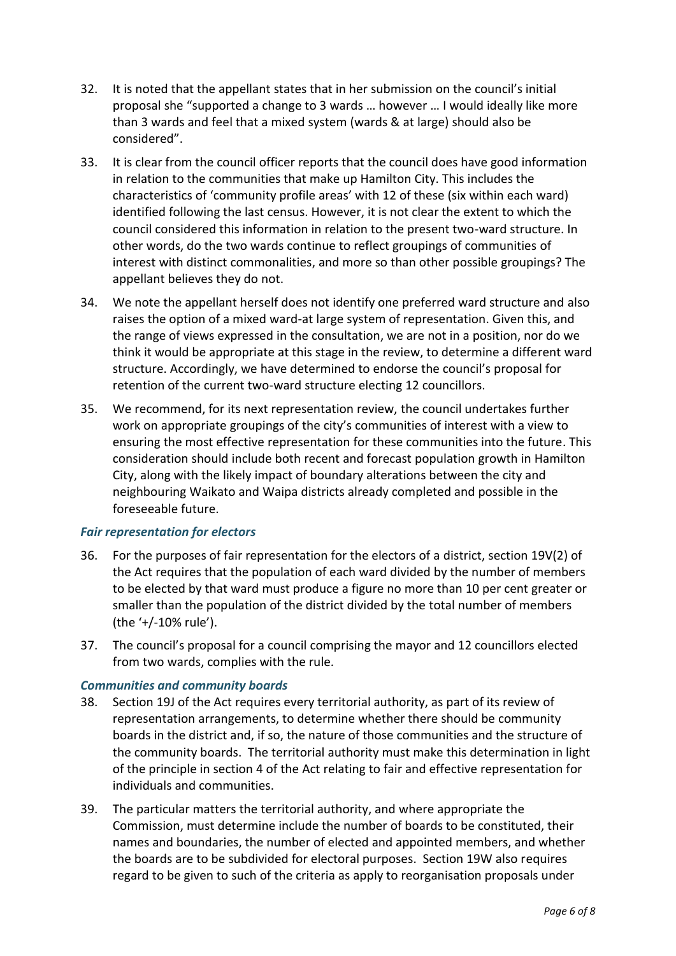- 32. It is noted that the appellant states that in her submission on the council's initial proposal she "supported a change to 3 wards … however … I would ideally like more than 3 wards and feel that a mixed system (wards & at large) should also be considered".
- 33. It is clear from the council officer reports that the council does have good information in relation to the communities that make up Hamilton City. This includes the characteristics of 'community profile areas' with 12 of these (six within each ward) identified following the last census. However, it is not clear the extent to which the council considered this information in relation to the present two-ward structure. In other words, do the two wards continue to reflect groupings of communities of interest with distinct commonalities, and more so than other possible groupings? The appellant believes they do not.
- 34. We note the appellant herself does not identify one preferred ward structure and also raises the option of a mixed ward-at large system of representation. Given this, and the range of views expressed in the consultation, we are not in a position, nor do we think it would be appropriate at this stage in the review, to determine a different ward structure. Accordingly, we have determined to endorse the council's proposal for retention of the current two-ward structure electing 12 councillors.
- 35. We recommend, for its next representation review, the council undertakes further work on appropriate groupings of the city's communities of interest with a view to ensuring the most effective representation for these communities into the future. This consideration should include both recent and forecast population growth in Hamilton City, along with the likely impact of boundary alterations between the city and neighbouring Waikato and Waipa districts already completed and possible in the foreseeable future.

### *Fair representation for electors*

- 36. For the purposes of fair representation for the electors of a district, section 19V(2) of the Act requires that the population of each ward divided by the number of members to be elected by that ward must produce a figure no more than 10 per cent greater or smaller than the population of the district divided by the total number of members (the '+/-10% rule').
- 37. The council's proposal for a council comprising the mayor and 12 councillors elected from two wards, complies with the rule.

#### *Communities and community boards*

- 38. Section 19J of the Act requires every territorial authority, as part of its review of representation arrangements, to determine whether there should be community boards in the district and, if so, the nature of those communities and the structure of the community boards. The territorial authority must make this determination in light of the principle in section 4 of the Act relating to fair and effective representation for individuals and communities.
- 39. The particular matters the territorial authority, and where appropriate the Commission, must determine include the number of boards to be constituted, their names and boundaries, the number of elected and appointed members, and whether the boards are to be subdivided for electoral purposes. Section 19W also requires regard to be given to such of the criteria as apply to reorganisation proposals under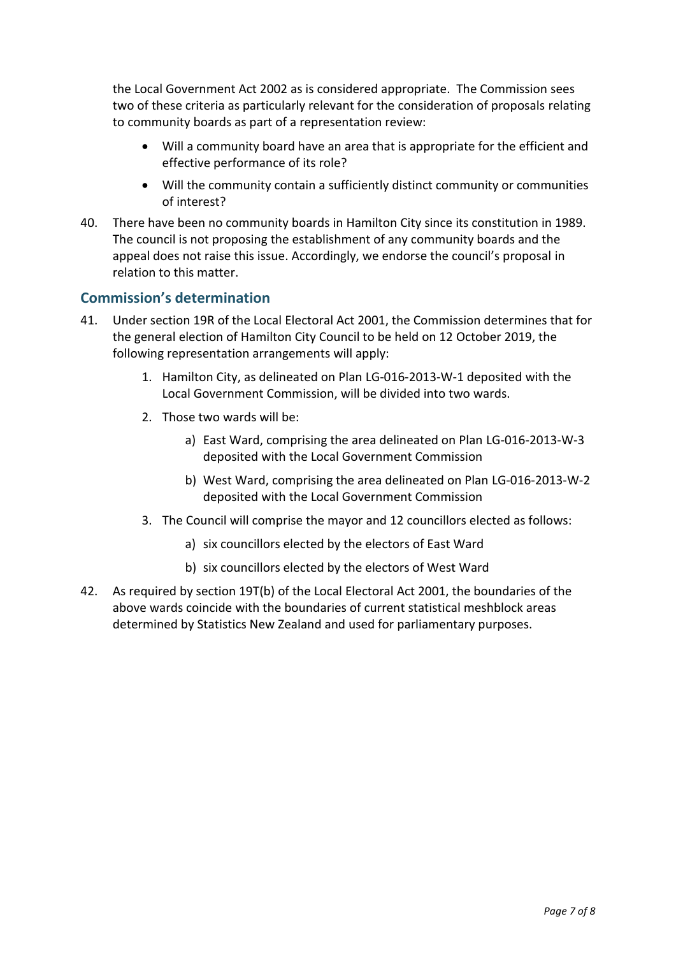the Local Government Act 2002 as is considered appropriate. The Commission sees two of these criteria as particularly relevant for the consideration of proposals relating to community boards as part of a representation review:

- Will a community board have an area that is appropriate for the efficient and effective performance of its role?
- Will the community contain a sufficiently distinct community or communities of interest?
- 40. There have been no community boards in Hamilton City since its constitution in 1989. The council is not proposing the establishment of any community boards and the appeal does not raise this issue. Accordingly, we endorse the council's proposal in relation to this matter.

### **Commission's determination**

- 41. Under section 19R of the Local Electoral Act 2001, the Commission determines that for the general election of Hamilton City Council to be held on 12 October 2019, the following representation arrangements will apply:
	- 1. Hamilton City, as delineated on Plan LG-016-2013-W-1 deposited with the Local Government Commission, will be divided into two wards.
	- 2. Those two wards will be:
		- a) East Ward, comprising the area delineated on Plan LG-016-2013-W-3 deposited with the Local Government Commission
		- b) West Ward, comprising the area delineated on Plan LG-016-2013-W-2 deposited with the Local Government Commission
	- 3. The Council will comprise the mayor and 12 councillors elected as follows:
		- a) six councillors elected by the electors of East Ward
		- b) six councillors elected by the electors of West Ward
- 42. As required by section 19T(b) of the Local Electoral Act 2001, the boundaries of the above wards coincide with the boundaries of current statistical meshblock areas determined by Statistics New Zealand and used for parliamentary purposes.